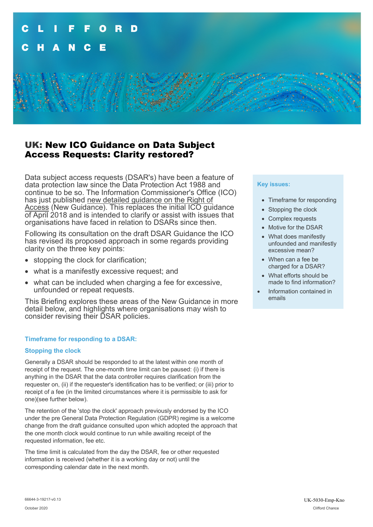

# UK: New ICO Guidance on Data Subject Access Requests: Clarity restored?

Data subject access requests (DSAR's) have been a feature of data protection law since the Data Protection Act 1988 and continue to be so. The Information Commissioner's Office (ICO) has just published new detailed guidance on the Right of Access (New Guidance). This replaces the initial ICO guidance of April 2018 and is intended to clarify or assist with issues that organisations have faced in relation to DSARs since then.

Following its consultation on the draft DSAR Guidance the ICO has revised its proposed approach in some regards providing clarity on the three key points:

- stopping the clock for clarification;
- what is a manifestly excessive request; and
- what can be included when charging a fee for excessive, unfounded or repeat requests.

This Briefing explores these areas of the New Guidance in more detail below, and highlights where organisations may wish to consider revising their DSAR policies.

### **Timeframe for responding to a DSAR:**

### **Stopping the clock**

Generally a DSAR should be responded to at the latest within one month of receipt of the request. The one-month time limit can be paused: (i) if there is anything in the DSAR that the data controller requires clarification from the requester on, (ii) if the requester's identification has to be verified; or (iii) prior to receipt of a fee (in the limited circumstances where it is permissible to ask for one)(see further below).

The retention of the 'stop the clock' approach previously endorsed by the ICO under the pre General Data Protection Regulation (GDPR) regime is a welcome change from the draft guidance consulted upon which adopted the approach that the one month clock would continue to run while awaiting receipt of the requested information, fee etc.

The time limit is calculated from the day the DSAR, fee or other requested information is received (whether it is a working day or not) until the corresponding calendar date in the next month.

#### **Key issues:**

- Timeframe for responding
- Stopping the clock
- Complex requests
- Motive for the DSAR
- What does manifestly unfounded and manifestly excessive mean?
- When can a fee be charged for a DSAR?
- What efforts should be made to find information?
- Information contained in emails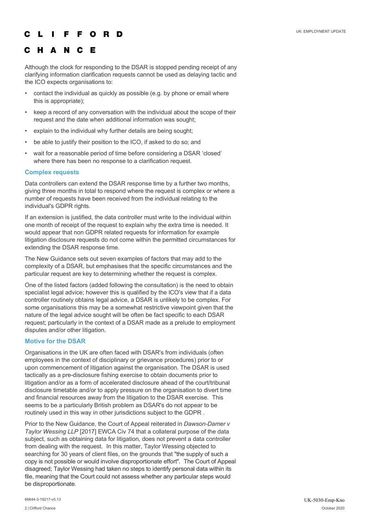#### F O R D

#### C H A N C F

Although the clock for responding to the DSAR is stopped pending receipt of any clarifying information clarification requests cannot be used as delaying tactic and the ICO expects organisations to:

- contact the individual as quickly as possible (e.g. by phone or email where this is appropriate);
- keep a record of any conversation with the individual about the scope of their request and the date when additional information was sought;
- explain to the individual why further details are being sought;
- be able to justify their position to the ICO, if asked to do so; and
- wait for a reasonable period of time before considering a DSAR 'closed' where there has been no response to a clarification request.

### **Complex requests**

Data controllers can extend the DSAR response time by a further two months, giving three months in total to respond where the request is complex or where a number of requests have been received from the individual relating to the individual's GDPR rights.

If an extension is justified, the data controller must write to the individual within one month of receipt of the request to explain why the extra time is needed. It would appear that non GDPR related requests for information for example litigation disclosure requests do not come within the permitted circumstances for extending the DSAR response time.

The New Guidance sets out seven examples of factors that may add to the complexity of a DSAR, but emphasises that the specific circumstances and the particular request are key to determining whether the request is complex.

One of the listed factors (added following the consultation) is the need to obtain specialist legal advice; however this is qualified by the ICO's view that if a data controller routinely obtains legal advice, a DSAR is unlikely to be complex. For some organisations this may be a somewhat restrictive viewpoint given that the nature of the legal advice sought will be often be fact specific to each DSAR request; particularly in the context of a DSAR made as a prelude to employment disputes and/or other litigation.

### **Motive for the DSAR**

Organisations in the UK are often faced with DSAR's from individuals (often employees in the context of disciplinary or grievance procedures) prior to or upon commencement of litigation against the organisation. The DSAR is used tactically as a pre-disclosure fishing exercise to obtain documents prior to litigation and/or as a form of accelerated disclosure ahead of the court/tribunal disclosure timetable and/or to apply pressure on the organisation to divert time and financial resources away from the litigation to the DSAR exercise. This seems to be a particularly British problem as DSAR's do not appear to be routinely used in this way in other jurisdictions subject to the GDPR .

Prior to the New Guidance, the Court of Appeal reiterated in *Dawson-Damer v Taylor Wessing LLP* [2017] EWCA Civ 74 that a collateral purpose of the data subject, such as obtaining data for litigation, does not prevent a data controller from dealing with the request. In this matter, Taylor Wessing objected to searching for 30 years of client files, on the grounds that "the supply of such a copy is not possible or would involve disproportionate effort". The Court of Appeal disagreed; Taylor Wessing had taken no steps to identify personal data within its file, meaning that the Court could not assess whether any particular steps would be disproportionate.

66644-3-19217-v0.13 UK-5030-Emp-Kno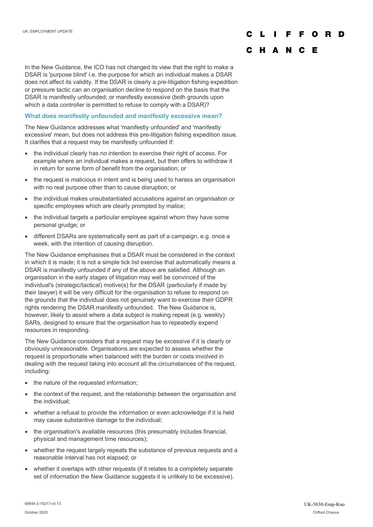### F O R D

## C H A N C E

In the New Guidance, the ICO has not changed its view that the right to make a DSAR is 'purpose blind' i.e. the purpose for which an individual makes a DSAR does not affect its validity. If the DSAR is clearly a pre-litigation fishing expedition or pressure tactic can an organisation decline to respond on the basis that the DSAR is manifestly unfounded; or manifestly excessive (both grounds upon which a data controller is permitted to refuse to comply with a DSAR)?

### **What does manifestly unfounded and manifestly excessive mean?**

The New Guidance addresses what 'manifestly unfounded' and 'manifestly excessive' mean, but does not address this pre-litigation fishing expedition issue. It clarifies that a request may be manifestly unfounded if:

- the individual clearly has no intention to exercise their right of access. For example where an individual makes a request, but then offers to withdraw it in return for some form of benefit from the organisation; or
- the request is malicious in intent and is being used to harass an organisation with no real purpose other than to cause disruption; or
- the individual makes unsubstantiated accusations against an organisation or specific employees which are clearly prompted by malice;
- the individual targets a particular employee against whom they have some personal grudge; or
- different DSARs are systematically sent as part of a campaign, e.g. once a week, with the intention of causing disruption.

The New Guidance emphasises that a DSAR must be considered in the context in which it is made; it is not a simple tick list exercise that automatically means a DSAR is manifestly unfounded if any of the above are satisfied. Although an organisation in the early stages of litigation may well be convinced of the individual's (strategic/tactical) motive(s) for the DSAR (particularly if made by their lawyer) it will be very difficult for the organisation to refuse to respond on the grounds that the individual does not genuinely want to exercise their GDPR rights rendering the DSAR manifestly unfounded. The New Guidance is, however, likely to assist where a data subject is making repeat (e.g. weekly) SARs, designed to ensure that the organisation has to repeatedly expend resources in responding.

The New Guidance considers that a request may be excessive if it is clearly or obviously unreasonable. Organisations are expected to assess whether the request is proportionate when balanced with the burden or costs involved in dealing with the request taking into account all the circumstances of the request, including:

- the nature of the requested information;
- the context of the request, and the relationship between the organisation and the individual;
- whether a refusal to provide the information or even acknowledge if it is held may cause substantive damage to the individual;
- the organisation's available resources (this presumably includes financial, physical and management time resources);
- whether the request largely repeats the substance of previous requests and a reasonable interval has not elapsed; or
- whether it overlaps with other requests (if it relates to a completely separate set of information the New Guidance suggests it is unlikely to be excessive).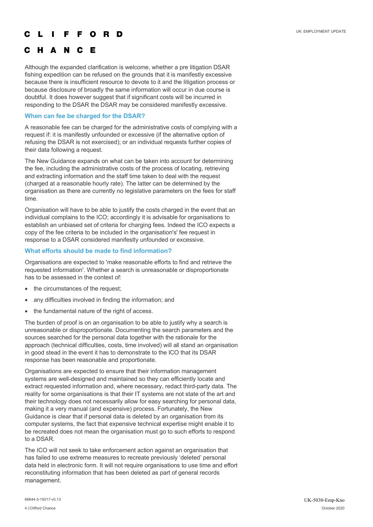#### O R D F E

# C H A N C E

Although the expanded clarification is welcome, whether a pre litigation DSAR fishing expedition can be refused on the grounds that it is manifestly excessive because there is insufficient resource to devote to it and the litigation process or because disclosure of broadly the same information will occur in due course is doubtful. It does however suggest that if significant costs will be incurred in responding to the DSAR the DSAR may be considered manifestly excessive.

### **When can fee be charged for the DSAR?**

A reasonable fee can be charged for the administrative costs of complying with a request if: it is manifestly unfounded or excessive (if the alternative option of refusing the DSAR is not exercised); or an individual requests further copies of their data following a request.

The New Guidance expands on what can be taken into account for determining the fee, including the administrative costs of the process of locating, retrieving and extracting information and the staff time taken to deal with the request (charged at a reasonable hourly rate). The latter can be determined by the organisation as there are currently no legislative parameters on the fees for staff time.

Organisation will have to be able to justify the costs charged in the event that an individual complains to the ICO; accordingly it is advisable for organisations to establish an unbiased set of criteria for charging fees. Indeed the ICO expects a copy of the fee criteria to be included in the organisation's' fee request in response to a DSAR considered manifestly unfounded or excessive.

### **What efforts should be made to find information?**

Organisations are expected to 'make reasonable efforts to find and retrieve the requested information'. Whether a search is unreasonable or disproportionate has to be assessed in the context of:

- the circumstances of the request;
- any difficulties involved in finding the information; and
- the fundamental nature of the right of access.

The burden of proof is on an organisation to be able to justify why a search is unreasonable or disproportionate. Documenting the search parameters and the sources searched for the personal data together with the rationale for the approach (technical difficulties, costs, time involved) will all stand an organisation in good stead in the event it has to demonstrate to the ICO that its DSAR response has been reasonable and proportionate.

Organisations are expected to ensure that their information management systems are well-designed and maintained so they can efficiently locate and extract requested information and, where necessary, redact third-party data. The reality for some organisations is that their IT systems are not state of the art and their technology does not necessarily allow for easy searching for personal data, making it a very manual (and expensive) process. Fortunately, the New Guidance is clear that if personal data is deleted by an organisation from its computer systems, the fact that expensive technical expertise might enable it to be recreated does not mean the organisation must go to such efforts to respond to a DSAR.

The ICO will not seek to take enforcement action against an organisation that has failed to use extreme measures to recreate previously 'deleted' personal data held in electronic form. It will not require organisations to use time and effort reconstituting information that has been deleted as part of general records management.

66644-3-19217-v0.13 UK-5030-Emp-Kno